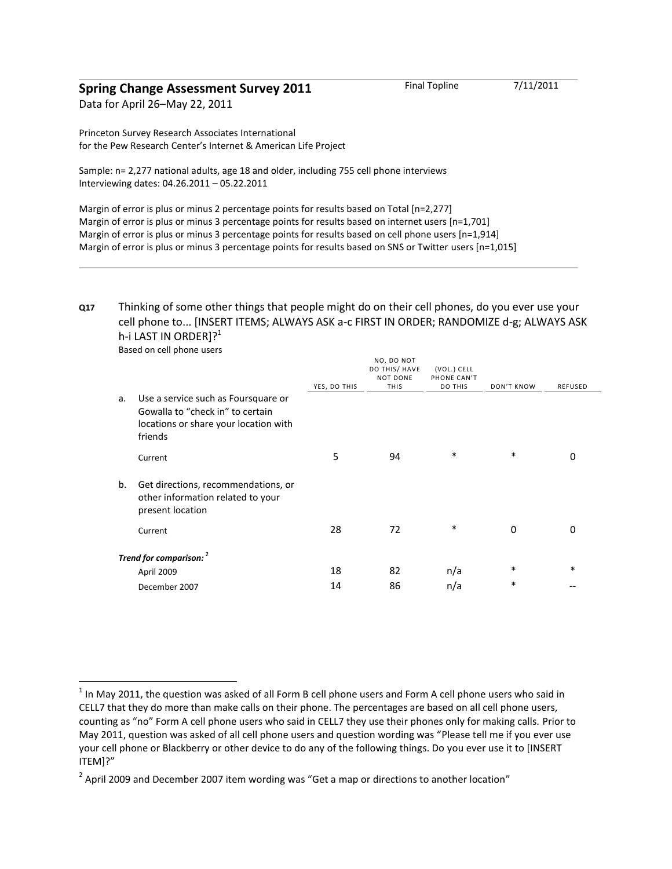## **Spring Change Assessment Survey 2011** Final Topline 7/11/2011

Data for April 26–May 22, 2011

Princeton Survey Research Associates International for the Pew Research Center's Internet & American Life Project

Sample: n= 2,277 national adults, age 18 and older, including 755 cell phone interviews Interviewing dates: 04.26.2011 – 05.22.2011

Margin of error is plus or minus 2 percentage points for results based on Total [n=2,277] Margin of error is plus or minus 3 percentage points for results based on internet users [n=1,701] Margin of error is plus or minus 3 percentage points for results based on cell phone users [n=1,914] Margin of error is plus or minus 3 percentage points for results based on SNS or Twitter users [n=1,015]

## **Q17** Thinking of some other things that people might do on their cell phones, do you ever use your cell phone to... [INSERT ITEMS; ALWAYS ASK a-c FIRST IN ORDER; RANDOMIZE d-g; ALWAYS ASK h-i LAST IN ORDER $]$ <sup>2</sup>

|                         |                                                                                                                             | YES, DO THIS | NO, DO NOT<br>DO THIS/ HAVE<br><b>NOT DONE</b><br><b>THIS</b> | (VOL.) CELL<br>PHONE CAN'T<br><b>DO THIS</b> | <b>DON'T KNOW</b> | <b>REFUSED</b> |
|-------------------------|-----------------------------------------------------------------------------------------------------------------------------|--------------|---------------------------------------------------------------|----------------------------------------------|-------------------|----------------|
| a.                      | Use a service such as Foursquare or<br>Gowalla to "check in" to certain<br>locations or share your location with<br>friends |              |                                                               |                                              |                   |                |
|                         | Current                                                                                                                     | 5            | 94                                                            | $\ast$                                       | *                 | 0              |
| b.                      | Get directions, recommendations, or<br>other information related to your<br>present location                                |              |                                                               |                                              |                   |                |
|                         | Current                                                                                                                     | 28           | 72                                                            | *                                            | 0                 | $\Omega$       |
| Trend for comparison: 2 |                                                                                                                             |              |                                                               |                                              |                   |                |
|                         | April 2009                                                                                                                  | 18           | 82                                                            | n/a                                          | *                 | $\ast$         |
|                         | December 2007                                                                                                               | 14           | 86                                                            | n/a                                          | *                 |                |

Based on cell phone users

 $\overline{a}$ 

 $^1$  In May 2011, the question was asked of all Form B cell phone users and Form A cell phone users who said in CELL7 that they do more than make calls on their phone. The percentages are based on all cell phone users, counting as "no" Form A cell phone users who said in CELL7 they use their phones only for making calls. Prior to May 2011, question was asked of all cell phone users and question wording was "Please tell me if you ever use your cell phone or Blackberry or other device to do any of the following things. Do you ever use it to [INSERT ITEM]?"

 $^{2}$  April 2009 and December 2007 item wording was "Get a map or directions to another location"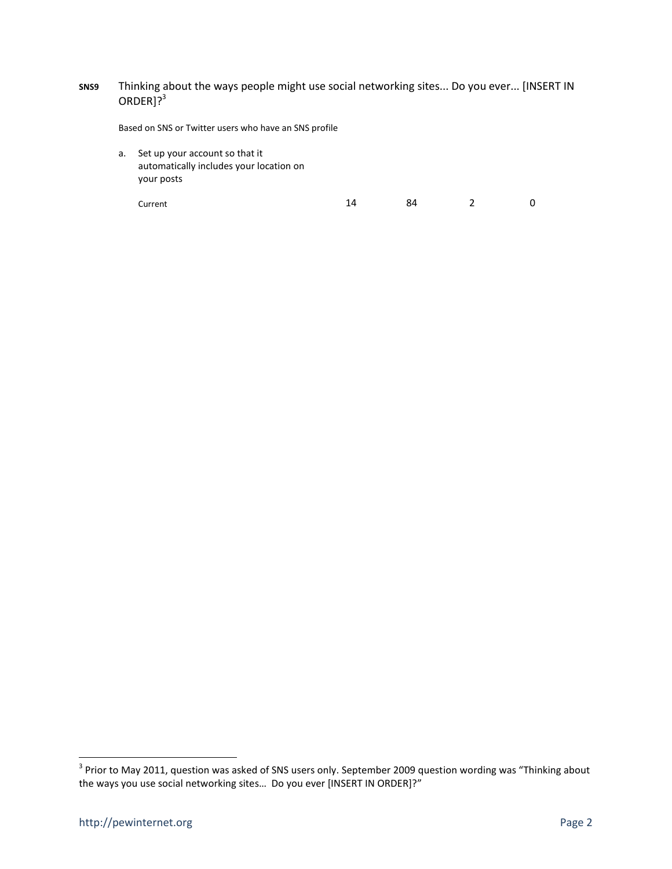## **SNS9** Thinking about the ways people might use social networking sites... Do you ever... [INSERT IN  $ORDER$ ]?<sup>3</sup>

Based on SNS or Twitter users who have an SNS profile

a. Set up your account so that it automatically includes your location on your posts

Current 2 0

 3 Prior to May 2011, question was asked of SNS users only. September 2009 question wording was "Thinking about the ways you use social networking sites... Do you ever [INSERT IN ORDER]?"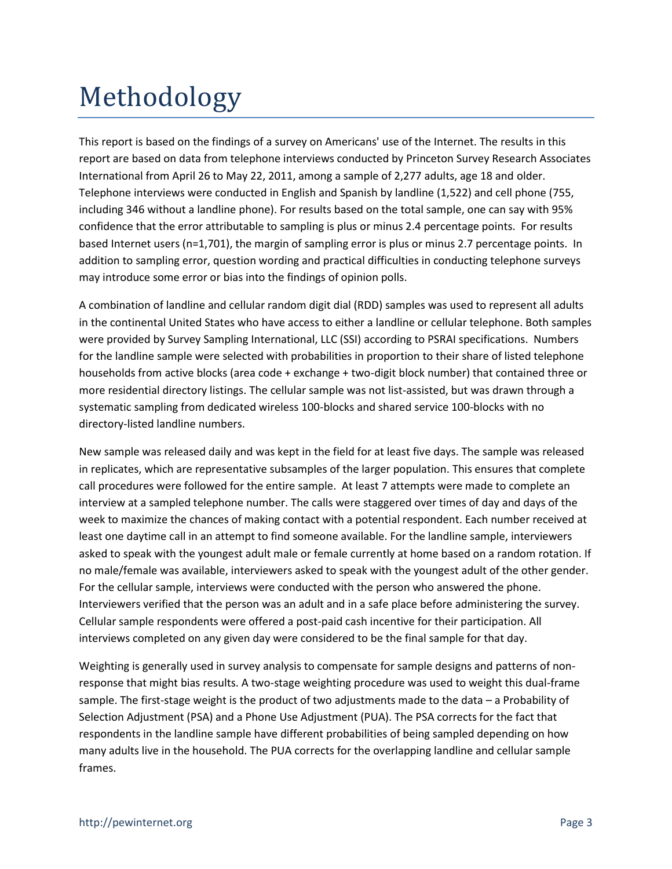## Methodology

This report is based on the findings of a survey on Americans' use of the Internet. The results in this report are based on data from telephone interviews conducted by Princeton Survey Research Associates International from April 26 to May 22, 2011, among a sample of 2,277 adults, age 18 and older. Telephone interviews were conducted in English and Spanish by landline (1,522) and cell phone (755, including 346 without a landline phone). For results based on the total sample, one can say with 95% confidence that the error attributable to sampling is plus or minus 2.4 percentage points. For results based Internet users (n=1,701), the margin of sampling error is plus or minus 2.7 percentage points. In addition to sampling error, question wording and practical difficulties in conducting telephone surveys may introduce some error or bias into the findings of opinion polls.

A combination of landline and cellular random digit dial (RDD) samples was used to represent all adults in the continental United States who have access to either a landline or cellular telephone. Both samples were provided by Survey Sampling International, LLC (SSI) according to PSRAI specifications. Numbers for the landline sample were selected with probabilities in proportion to their share of listed telephone households from active blocks (area code + exchange + two-digit block number) that contained three or more residential directory listings. The cellular sample was not list-assisted, but was drawn through a systematic sampling from dedicated wireless 100-blocks and shared service 100-blocks with no directory-listed landline numbers.

New sample was released daily and was kept in the field for at least five days. The sample was released in replicates, which are representative subsamples of the larger population. This ensures that complete call procedures were followed for the entire sample. At least 7 attempts were made to complete an interview at a sampled telephone number. The calls were staggered over times of day and days of the week to maximize the chances of making contact with a potential respondent. Each number received at least one daytime call in an attempt to find someone available. For the landline sample, interviewers asked to speak with the youngest adult male or female currently at home based on a random rotation. If no male/female was available, interviewers asked to speak with the youngest adult of the other gender. For the cellular sample, interviews were conducted with the person who answered the phone. Interviewers verified that the person was an adult and in a safe place before administering the survey. Cellular sample respondents were offered a post-paid cash incentive for their participation. All interviews completed on any given day were considered to be the final sample for that day.

Weighting is generally used in survey analysis to compensate for sample designs and patterns of nonresponse that might bias results. A two-stage weighting procedure was used to weight this dual-frame sample. The first-stage weight is the product of two adjustments made to the data – a Probability of Selection Adjustment (PSA) and a Phone Use Adjustment (PUA). The PSA corrects for the fact that respondents in the landline sample have different probabilities of being sampled depending on how many adults live in the household. The PUA corrects for the overlapping landline and cellular sample frames.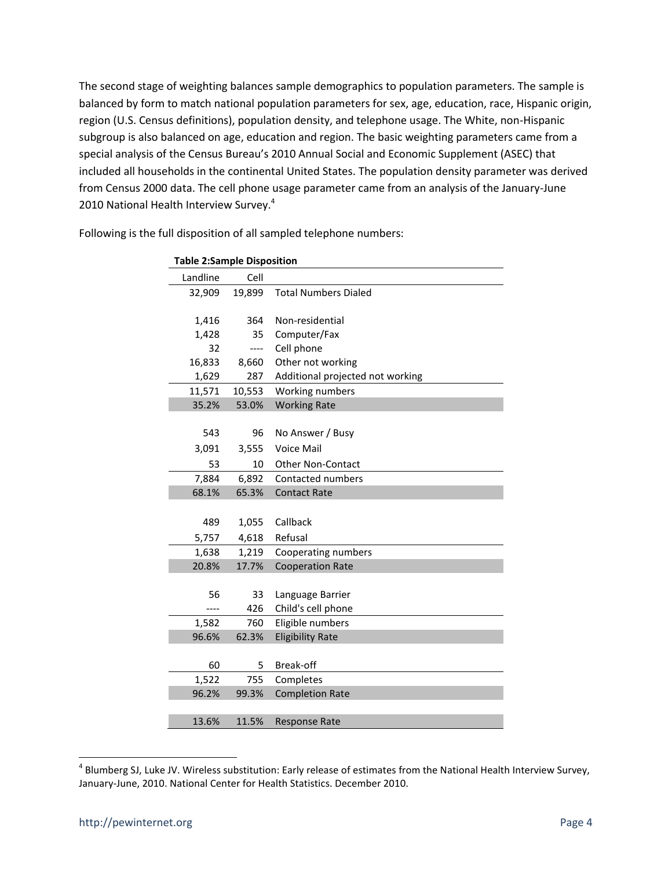The second stage of weighting balances sample demographics to population parameters. The sample is balanced by form to match national population parameters for sex, age, education, race, Hispanic origin, region (U.S. Census definitions), population density, and telephone usage. The White, non-Hispanic subgroup is also balanced on age, education and region. The basic weighting parameters came from a special analysis of the Census Bureau's 2010 Annual Social and Economic Supplement (ASEC) that included all households in the continental United States. The population density parameter was derived from Census 2000 data. The cell phone usage parameter came from an analysis of the January-June 2010 National Health Interview Survey.<sup>4</sup>

| <b>Table 2:Sample Disposition</b> |        |                                  |  |  |  |
|-----------------------------------|--------|----------------------------------|--|--|--|
| Landline                          | Cell   |                                  |  |  |  |
| 32,909                            | 19,899 | <b>Total Numbers Dialed</b>      |  |  |  |
|                                   |        |                                  |  |  |  |
| 1,416                             | 364    | Non-residential                  |  |  |  |
| 1,428                             | 35     | Computer/Fax                     |  |  |  |
| 32                                | ----   | Cell phone                       |  |  |  |
| 16,833                            | 8,660  | Other not working                |  |  |  |
| 1,629                             | 287    | Additional projected not working |  |  |  |
| 11,571                            | 10,553 | Working numbers                  |  |  |  |
| 35.2%                             | 53.0%  | <b>Working Rate</b>              |  |  |  |
|                                   |        |                                  |  |  |  |
| 543                               | 96     | No Answer / Busy                 |  |  |  |
| 3,091                             | 3,555  | <b>Voice Mail</b>                |  |  |  |
| 53                                | 10     | <b>Other Non-Contact</b>         |  |  |  |
| 7,884                             | 6,892  | <b>Contacted numbers</b>         |  |  |  |
| 68.1%                             | 65.3%  | <b>Contact Rate</b>              |  |  |  |
|                                   |        |                                  |  |  |  |
| 489                               | 1,055  | Callback                         |  |  |  |
| 5,757                             | 4,618  | Refusal                          |  |  |  |
| 1,638                             | 1,219  | Cooperating numbers              |  |  |  |
| 20.8%                             | 17.7%  | <b>Cooperation Rate</b>          |  |  |  |
|                                   |        |                                  |  |  |  |
| 56                                | 33     | Language Barrier                 |  |  |  |
| ----                              | 426    | Child's cell phone               |  |  |  |
| 1,582                             | 760    | Eligible numbers                 |  |  |  |
| 96.6%                             | 62.3%  | <b>Eligibility Rate</b>          |  |  |  |
|                                   |        |                                  |  |  |  |
| 60                                | 5      | Break-off                        |  |  |  |
| 1,522                             | 755    | Completes                        |  |  |  |
| 96.2%                             | 99.3%  | <b>Completion Rate</b>           |  |  |  |
|                                   |        |                                  |  |  |  |
| 13.6%                             | 11.5%  | <b>Response Rate</b>             |  |  |  |

Following is the full disposition of all sampled telephone numbers:

l

<sup>&</sup>lt;sup>4</sup> Blumberg SJ, Luke JV. Wireless substitution: Early release of estimates from the National Health Interview Survey, January-June, 2010. National Center for Health Statistics. December 2010.